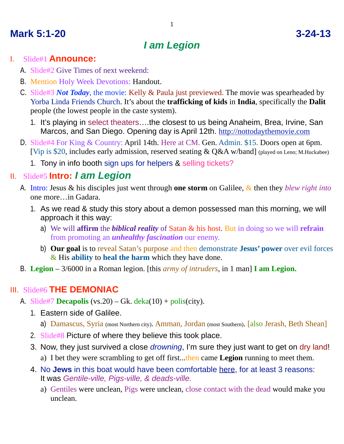## **Mark 5:1-20 3-24-13**

# *I am Legion*

#### I. Slide#1 **Announce:**

- A. Slide#2 Give Times of next weekend:
- B. Mention Holy Week Devotions: Handout.
- C. Slide#3 *Not Today*, the movie: Kelly & Paula just previewed. The movie was spearheaded by Yorba Linda Friends Church. It's about the **trafficking of kids** in **India**, specifically the **Dalit** people (the lowest people in the caste system).
	- 1. It's playing in select theaters….the closest to us being Anaheim, Brea, Irvine, San Marcos, and San Diego. Opening day is April 12th. <http://nottodaythemovie.com>
- D. Slide#4 For King & Country: April 14th. Here at CM. Gen. Admin. \$15. Doors open at 6pm. [Vip is \$20, includes early admission, reserved seating & Q&A w/band] (played on Leno; M.Huckabee)
	- 1. Tony in info booth sign ups for helpers & selling tickets?

#### II. Slide#5 **Intro:** *I am Legion*

- A. Intro: Jesus & his disciples just went through **one storm** on Galilee, & then they *blew right into*  one more…in Gadara.
	- 1. As we read & study this story about a demon possessed man this morning, we will approach it this way:
		- a) We will **affirm** the *biblical reality* of Satan & his host. But in doing so we will **refrain** from promoting an *unhealthy fascination* our enemy.
		- b) **Our goal** is to reveal Satan's purpose and then demonstrate **Jesus' power** over evil forces & His **ability** to **heal the harm** which they have done.
- B. **Legion** 3/6000 in a Roman legion. [this *army of intruders*, in 1 man] **I am Legion.**

### III. Slide#6 **THE DEMONIAC**

- A. Slide#7 **Decapolis** (vs.20) Gk. deka(10) + polis(city).
	- 1. Eastern side of Galilee.
		- a) Damascus, Syria (most Northern city). Amman, Jordan (most Southern). [also Jerash, Beth Shean]
	- 2. Slide#8 Picture of where they believe this took place.
	- 3. Now, they just survived a close *drowning*, I'm sure they just want to get on dry land! a) I bet they were scrambling to get off first...then came **Legion** running to meet them.
	- 4. No **Jews** in this boat would have been comfortable here, for at least 3 reasons: It was *Gentile-ville, Pigs-ville, & deads-ville.* 
		- a) Gentiles were unclean, Pigs were unclean, close contact with the dead would make you unclean.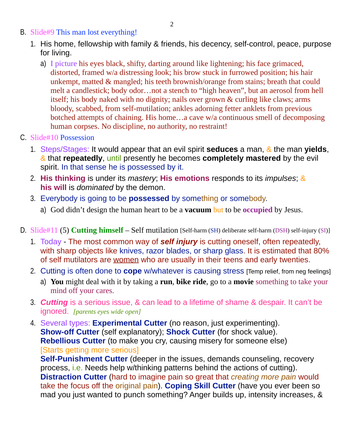- B. Slide#9 This man lost everything!
	- 1. His home, fellowship with family & friends, his decency, self-control, peace, purpose for living.
		- a) I picture his eyes black, shifty, darting around like lightening; his face grimaced, distorted, framed w/a distressing look; his brow stuck in furrowed position; his hair unkempt, matted & mangled; his teeth brownish/orange from stains; breath that could melt a candlestick; body odor…not a stench to "high heaven", but an aerosol from hell itself; his body naked with no dignity; nails over grown & curling like claws; arms bloody, scabbed, from self-mutilation; ankles adorning fetter anklets from previous botched attempts of chaining. His home…a cave w/a continuous smell of decomposing human corpses. No discipline, no authority, no restraint!
- C. Slide#10 Possession
	- 1. Steps/Stages: It would appear that an evil spirit **seduces** a man, & the man **yields**, & that **repeatedly**, until presently he becomes **completely mastered** by the evil spirit. In that sense he is possessed by it.
	- 2. **His thinking** is under its *mastery*; **His emotions** responds to its *impulses*; & **his will** is *dominated* by the demon.
	- 3. Everybody is going to be **possessed** by something or somebody.
		- a) God didn't design the human heart to be a **vacuum** but to be **occupied** by Jesus.
- D. Slide#11 (5) **Cutting himself** Self mutilation [Self-harm (SH) deliberate self-harm (DSH) self-injury (SI)]
	- 1. Today The most common way of *self injury* is cutting oneself, often repeatedly, with sharp objects like knives, razor blades, or sharp glass. It is estimated that 80% of self mutilators are women who are usually in their teens and early twenties.
	- 2. Cutting is often done to **cope** w/whatever is causing stress [Temp relief, from neg feelings]
		- a) **You** might deal with it by taking a **run**, **bike ride**, go to a **movie** something to take your mind off your cares.
	- 3. *Cutting* is a serious issue, & can lead to a lifetime of shame & despair. It can't be ignored. *[parents eyes wide open]*
	- 4. Several types: **Experimental Cutter** (no reason, just experimenting). **Show-off Cutter** (self explanatory); **Shock Cutter** (for shock value). **Rebellious Cutter** (to make you cry, causing misery for someone else) [Starts getting more serious]

**Self-Punishment Cutter** (deeper in the issues, demands counseling, recovery process, i.e. Needs help w/thinking patterns behind the actions of cutting). **Distraction Cutter** (hard to imagine pain so great that *creating more pain* would take the focus off the original pain). **Coping Skill Cutter** (have you ever been so mad you just wanted to punch something? Anger builds up, intensity increases, &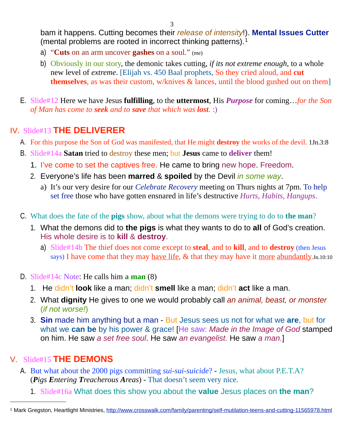bam it happens. Cutting becomes their *release of intensity*!). **Mental Issues Cutter** (mental problems are rooted in incorrect thinking patterns).[1](#page-2-0)

- a) "**Cuts** on an arm uncover **gashes** on a soul." (me)
- b) Obviously in our story, the demonic takes cutting, *if its not extreme enough*, to a whole new level of *extreme*. [Elijah vs. 450 Baal prophets, So they cried aloud, and **cut themselves**, as was their custom, w/knives & lances, until the blood gushed out on them]
- E. Slide#12 Here we have Jesus **fulfilling**, to the **uttermost**, His *Purpose* for coming…*for the Son of Man has come to seek and to save that which was lost.* :)

### IV. Slide#13 **THE DELIVERER**

- A. For this purpose the Son of God was manifested, that He might **destroy** the works of the devil. 1Jn.3:8
- B. Slide#14a **Satan** tried to destroy these men; but **Jesus** came to **deliver** them!
	- 1. I've come to set the captives free. He came to bring new hope. Freedom.
	- 2. Everyone's life has been **marred** & **spoiled** by the Devil *in some way*.
		- a) It's our very desire for our *Celebrate Recovery* meeting on Thurs nights at 7pm. To help set free those who have gotten ensnared in life's destructive *Hurts, Habits, Hangups*.
- C. What does the fate of the **pigs** show, about what the demons were trying to do to **the man**?
	- 1. What the demons did to **the pigs** is what they wants to do to **all** of God's creation. His whole desire is to **kill** & **destroy**.
		- a) Slide#14b The thief does not come except to **steal**, and to **kill**, and to **destroy** (then Jesus says) I have come that they may have life,  $\&$  that they may have it more abundantly. Jn. 10:10
- D. Slide#14c Note: He calls him **a man** (8)
	- 1. He didn't **look** like a man; didn't **smell** like a man; didn't **act** like a man.
	- 2. What **dignity** He gives to one we would probably call *an animal, beast, or monster* (*if not worse!*)
	- 3. **Sin** made him anything but a man But Jesus sees us not for what we **are**, but for what we **can be** by his power & grace! [He saw: *Made in the Image of God* stamped on him. He saw *a set free soul*. He saw *an evangelist.* He saw *a man.*]

#### V. Slide#15 **THE DEMONS**

- A. But what about the 2000 pigs committing *sui-sui-suicide*? Jesus, what about P.E.T.A? (*Pigs Entering Treacherous Areas*) - That doesn't seem very nice.
	- 1. Slide#16a What does this show you about the **value** Jesus places on **the man**?

<span id="page-2-0"></span><sup>1</sup> Mark Gregston, Heartlight Ministries, <http://www.crosswalk.com/family/parenting/self-mutilation-teens-and-cutting-11565978.html>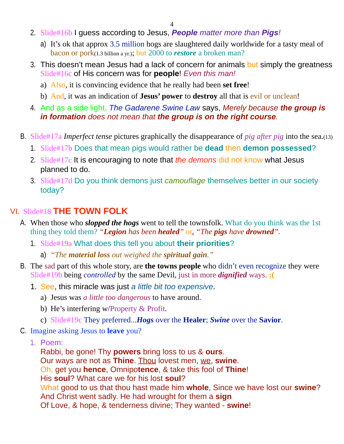- 2. Slide#16b I guess according to Jesus, *People matter more than Pigs!*
	- a) It's ok that approx 3.5 million hogs are slaughtered daily worldwide for a tasty meal of bacon or pork(1.3 billion a yr.); but 2000 to *restore* a broken man?
- 3. This doesn't mean Jesus had a lack of concern for animals but simply the greatness Slide#16c of His concern was for **people**! *Even this man!*
	- a) Also, it is convincing evidence that he really had been **set free**!
	- b) And, it was an indication of **Jesus' power** to **destroy** all that is evil or unclean!
- 4. And as a side light, *The Gadarene Swine Law* says, *Merely because the group is in formation does not mean that the group is on the right course.*
- B. Slide#17a *Imperfect tense* pictures graphically the disappearance of *pig after pig* into the sea.(13)
	- 1. Slide#17b Does that mean pigs would rather be **dead** then **demon possessed**?
	- 2. Slide#17c It is encouraging to note that *the demons* did not know what Jesus planned to do.
	- 3. Slide#17d Do you think demons just *camouflage* themselves better in our society today?

#### VI. Slide#18 **THE TOWN FOLK**

- A. When those who *slopped the hogs* went to tell the townsfolk. What do you think was the 1st thing they told them? *"Legion has been healed"* or, *"The pigs have drowned".*
	- 1. Slide#19a What does this tell you about **their priorities**?
		- a) *"The material loss out weighed the spiritual gain."*
- B. The sad part of this whole story, are **the towns people** who didn't even recognize they were Slide#19b being *controlled* by the same Devil, just in more *dignified* ways. **:(**
	- 1. See, this miracle was just *a little bit too expensive*.
		- a) Jesus was *a little too dangerous* to have around.
		- b) He's interfering w/Property & Profit.
		- c) Slide#19c They preferred...*Hogs* over the **Healer**; *Swine* over the **Savior**.
- C. Imagine asking Jesus to **leave** you?
	- 1. Poem:

Rabbi, be gone! Thy **powers** bring loss to us & **ours**. Our ways are not as **Thine**. Thou lovest men, we, **swine**. Oh, get you **hence**, Omnipo**tence**, & take this fool of **Thine**! His **soul**? What care we for his lost **soul**? What good to us that thou hast made him **whole**, Since we have lost our **swine**? And Christ went sadly. He had wrought for them a **sign** Of Love, & hope, & tenderness divine; They wanted - **swine**!